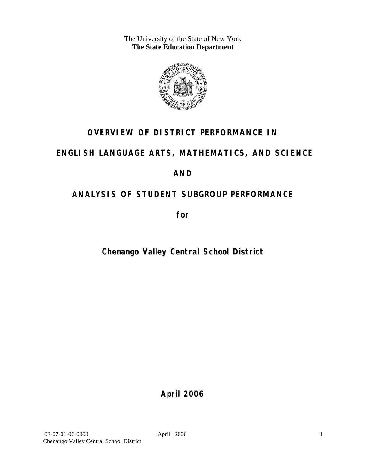The University of the State of New York **The State Education Department** 



## **OVERVIEW OF DISTRICT PERFORMANCE IN**

## **ENGLISH LANGUAGE ARTS, MATHEMATICS, AND SCIENCE**

## **AND**

## **ANALYSIS OF STUDENT SUBGROUP PERFORMANCE**

**for** 

## **Chenango Valley Central School District**

**April 2006**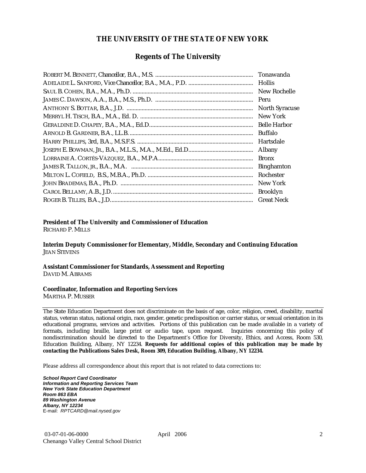### **THE UNIVERSITY OF THE STATE OF NEW YORK**

### **Regents of The University**

| Hollis                |
|-----------------------|
| New Rochelle          |
|                       |
| <b>North Syracuse</b> |
| New York              |
|                       |
| Buffalo               |
| Hartsdale             |
| Albany                |
| <b>Bronx</b>          |
| <b>Binghamton</b>     |
| Rochester             |
| New York              |
| <b>Brooklyn</b>       |
| <b>Great Neck</b>     |

### **President of The University and Commissioner of Education**

RICHARD P. MILLS

**Interim Deputy Commissioner for Elementary, Middle, Secondary and Continuing Education**  JEAN STEVENS

#### **Assistant Commissioner for Standards, Assessment and Reporting**  DAVID M. ABRAMS

#### **Coordinator, Information and Reporting Services**

MARTHA P. MUSSER

The State Education Department does not discriminate on the basis of age, color, religion, creed, disability, marital status, veteran status, national origin, race, gender, genetic predisposition or carrier status, or sexual orientation in its educational programs, services and activities. Portions of this publication can be made available in a variety of formats, including braille, large print or audio tape, upon request. Inquiries concerning this policy of nondiscrimination should be directed to the Department's Office for Diversity, Ethics, and Access, Room 530, Education Building, Albany, NY 12234. **Requests for additional copies of this publication may be made by contacting the Publications Sales Desk, Room 309, Education Building, Albany, NY 12234.** 

Please address all correspondence about this report that is not related to data corrections to:

*School Report Card Coordinator Information and Reporting Services Team New York State Education Department Room 863 EBA 89 Washington Avenue Albany, NY 12234*  E-mail: *RPTCARD@mail.nysed.gov*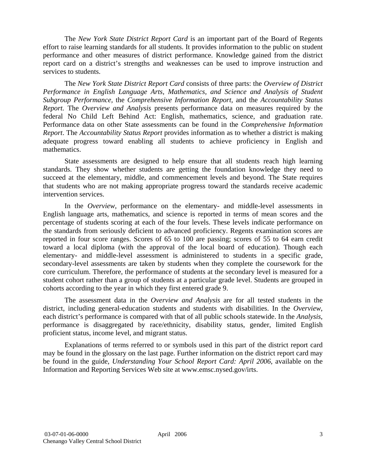The *New York State District Report Card* is an important part of the Board of Regents effort to raise learning standards for all students. It provides information to the public on student performance and other measures of district performance. Knowledge gained from the district report card on a district's strengths and weaknesses can be used to improve instruction and services to students.

The *New York State District Report Card* consists of three parts: the *Overview of District Performance in English Language Arts, Mathematics, and Science and Analysis of Student Subgroup Performance,* the *Comprehensive Information Report,* and the *Accountability Status Report.* The *Overview and Analysis* presents performance data on measures required by the federal No Child Left Behind Act: English, mathematics, science, and graduation rate. Performance data on other State assessments can be found in the *Comprehensive Information Report*. The *Accountability Status Report* provides information as to whether a district is making adequate progress toward enabling all students to achieve proficiency in English and mathematics.

State assessments are designed to help ensure that all students reach high learning standards. They show whether students are getting the foundation knowledge they need to succeed at the elementary, middle, and commencement levels and beyond. The State requires that students who are not making appropriate progress toward the standards receive academic intervention services.

In the *Overview*, performance on the elementary- and middle-level assessments in English language arts, mathematics, and science is reported in terms of mean scores and the percentage of students scoring at each of the four levels. These levels indicate performance on the standards from seriously deficient to advanced proficiency. Regents examination scores are reported in four score ranges. Scores of 65 to 100 are passing; scores of 55 to 64 earn credit toward a local diploma (with the approval of the local board of education). Though each elementary- and middle-level assessment is administered to students in a specific grade, secondary-level assessments are taken by students when they complete the coursework for the core curriculum. Therefore, the performance of students at the secondary level is measured for a student cohort rather than a group of students at a particular grade level. Students are grouped in cohorts according to the year in which they first entered grade 9.

The assessment data in the *Overview and Analysis* are for all tested students in the district, including general-education students and students with disabilities. In the *Overview*, each district's performance is compared with that of all public schools statewide. In the *Analysis*, performance is disaggregated by race/ethnicity, disability status, gender, limited English proficient status, income level, and migrant status.

Explanations of terms referred to or symbols used in this part of the district report card may be found in the glossary on the last page. Further information on the district report card may be found in the guide, *Understanding Your School Report Card: April 2006*, available on the Information and Reporting Services Web site at www.emsc.nysed.gov/irts.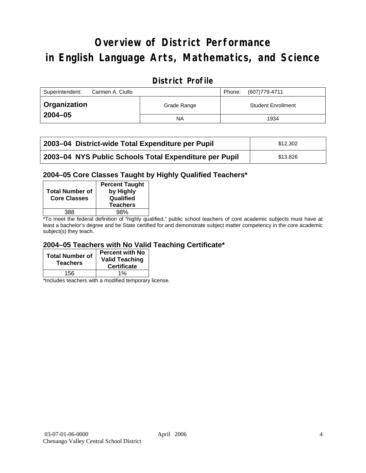# **Overview of District Performance in English Language Arts, Mathematics, and Science**

## **District Profile**

| Superintendent:<br>Carmen A. Ciullo |             | (607) 779-4711<br>Phone:  |
|-------------------------------------|-------------|---------------------------|
| <b>Organization</b>                 | Grade Range | <b>Student Enrollment</b> |
| $2004 - 05$                         | NA          | 1934                      |

| 2003-04 District-wide Total Expenditure per Pupil      | \$12,302 |
|--------------------------------------------------------|----------|
| 2003-04 NYS Public Schools Total Expenditure per Pupil | \$13.826 |

### **2004–05 Core Classes Taught by Highly Qualified Teachers\***

| <b>Total Number of</b><br><b>Core Classes</b> | <b>Percent Taught</b><br>by Highly<br>Qualified<br><b>Teachers</b> |
|-----------------------------------------------|--------------------------------------------------------------------|
| 388                                           | 98%                                                                |
| . .                                           | .                                                                  |

\*To meet the federal definition of "highly qualified," public school teachers of core academic subjects must have at least a bachelor's degree and be State certified for and demonstrate subject matter competency in the core academic subject(s) they teach.

### **2004–05 Teachers with No Valid Teaching Certificate\***

| <b>Total Number of</b><br><b>Teachers</b> | Percent with No  <br><b>Valid Teaching</b><br><b>Certificate</b> |
|-------------------------------------------|------------------------------------------------------------------|
| 156                                       | $1\%$                                                            |

\*Includes teachers with a modified temporary license.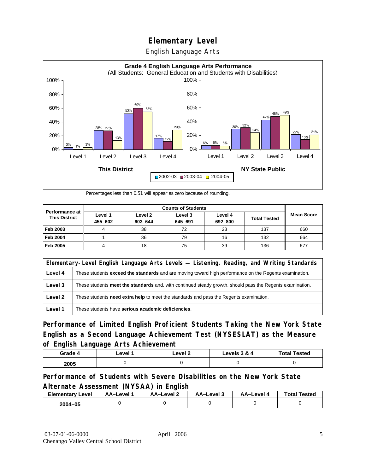English Language Arts



Percentages less than 0.51 will appear as zero because of rounding.

|                                               | <b>Counts of Students</b> |                    |                    |                    |                     |                   |
|-----------------------------------------------|---------------------------|--------------------|--------------------|--------------------|---------------------|-------------------|
| <b>Performance at</b><br><b>This District</b> | Level 1<br>455-602        | Level 2<br>603-644 | Level 3<br>645-691 | Level 4<br>692-800 | <b>Total Tested</b> | <b>Mean Score</b> |
| Feb 2003                                      |                           | 38                 | 72                 | 23                 | 137                 | 660               |
| <b>Feb 2004</b>                               |                           | 36                 | 79                 | 16                 | 132                 | 664               |
| Feb 2005                                      |                           | 18                 | 75                 | 39                 | 136                 | 677               |

|         | Elementary-Level English Language Arts Levels — Listening, Reading, and Writing Standards                     |  |  |  |  |
|---------|---------------------------------------------------------------------------------------------------------------|--|--|--|--|
| Level 4 | These students <b>exceed the standards</b> and are moving toward high performance on the Regents examination. |  |  |  |  |
| Level 3 | These students meet the standards and, with continued steady growth, should pass the Regents examination.     |  |  |  |  |
| Level 2 | These students need extra help to meet the standards and pass the Regents examination.                        |  |  |  |  |
| Level 1 | These students have serious academic deficiencies.                                                            |  |  |  |  |

**Performance of Limited English Proficient Students Taking the New York State English as a Second Language Achievement Test (NYSESLAT) as the Measure of English Language Arts Achievement**

| Grade 4 | _evel | Level 2 | Levels 3 & 4 | <b>Total Tested</b> |
|---------|-------|---------|--------------|---------------------|
| 2005    |       |         |              |                     |

### **Performance of Students with Severe Disabilities on the New York State Alternate Assessment (NYSAA) in English**

| <b>Elementary Level</b> | AA-Level | <b>AA-Level 2</b> | AA-Level 3 | AA-Level | <b>Total Tested</b> |
|-------------------------|----------|-------------------|------------|----------|---------------------|
| 2004-05                 |          |                   |            |          |                     |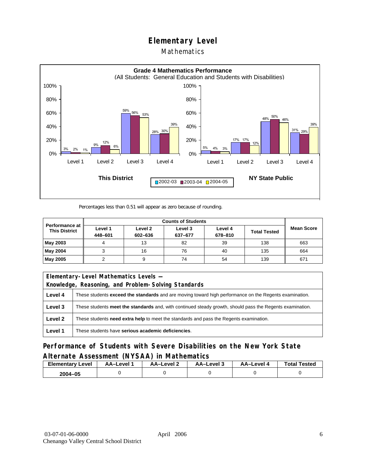### Mathematics



Percentages less than 0.51 will appear as zero because of rounding.

|                                        | <b>Counts of Students</b> |                    |                    |                    |                     |                   |
|----------------------------------------|---------------------------|--------------------|--------------------|--------------------|---------------------|-------------------|
| Performance at<br><b>This District</b> | Level 1<br>448-601        | Level 2<br>602-636 | Level 3<br>637-677 | Level 4<br>678-810 | <b>Total Tested</b> | <b>Mean Score</b> |
| May 2003                               | 4                         | 13                 | 82                 | 39                 | 138                 | 663               |
| May 2004                               |                           | 16                 | 76                 | 40                 | 135                 | 664               |
| May 2005                               |                           |                    | 74                 | 54                 | 139                 | 671               |

| Elementary-Level Mathematics Levels - |                                                                                                               |  |  |  |  |
|---------------------------------------|---------------------------------------------------------------------------------------------------------------|--|--|--|--|
|                                       | Knowledge, Reasoning, and Problem-Solving Standards                                                           |  |  |  |  |
| Level 4                               | These students <b>exceed the standards</b> and are moving toward high performance on the Regents examination. |  |  |  |  |
| Level 3                               | These students meet the standards and, with continued steady growth, should pass the Regents examination.     |  |  |  |  |
| Level 2                               | These students <b>need extra help</b> to meet the standards and pass the Regents examination.                 |  |  |  |  |
| Level 1                               | These students have serious academic deficiencies.                                                            |  |  |  |  |

**Performance of Students with Severe Disabilities on the New York State Alternate Assessment (NYSAA) in Mathematics** 

| <b>Elementary</b><br>Level | AA-Level | – AA–Level ∠ | د AA–Level | AA–Level 4 | <b>Total Tested</b> |
|----------------------------|----------|--------------|------------|------------|---------------------|
| 2004-05                    |          |              |            |            |                     |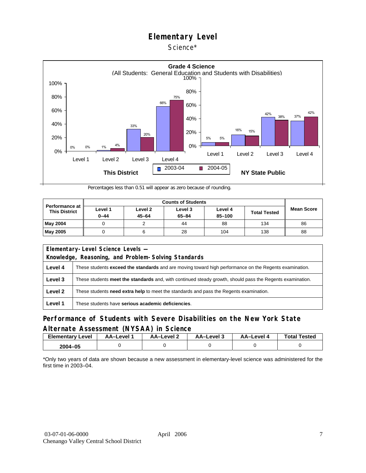### Science\*



Percentages less than 0.51 will appear as zero because of rounding.

|                                               |                     | <b>Counts of Students</b> |                      |                       |                     |                   |  |  |  |
|-----------------------------------------------|---------------------|---------------------------|----------------------|-----------------------|---------------------|-------------------|--|--|--|
| <b>Performance at</b><br><b>This District</b> | Level 1<br>$0 - 44$ | Level 2<br>$45 - 64$      | Level 3<br>$65 - 84$ | Level 4<br>$85 - 100$ | <b>Total Tested</b> | <b>Mean Score</b> |  |  |  |
| <b>May 2004</b>                               |                     |                           | 44                   | 88                    | 134                 | 86                |  |  |  |
| <b>May 2005</b>                               |                     |                           | 28                   | 104                   | 138                 | 88                |  |  |  |

|                                                     | Elementary-Level Science Levels -                                                                             |  |  |  |  |
|-----------------------------------------------------|---------------------------------------------------------------------------------------------------------------|--|--|--|--|
| Knowledge, Reasoning, and Problem-Solving Standards |                                                                                                               |  |  |  |  |
| Level 4                                             | These students <b>exceed the standards</b> and are moving toward high performance on the Regents examination. |  |  |  |  |
| Level 3                                             | These students meet the standards and, with continued steady growth, should pass the Regents examination.     |  |  |  |  |
| Level 2                                             | These students <b>need extra help</b> to meet the standards and pass the Regents examination.                 |  |  |  |  |
| Level 1                                             | These students have serious academic deficiencies.                                                            |  |  |  |  |

### **Performance of Students with Severe Disabilities on the New York State Alternate Assessment (NYSAA) in Science**

| <b>Elementary Level</b> | AA-Level <sup>*</sup> | AA-Level 2 | د AA–Level | AA–Level 4 | <b>Total Tested</b> |
|-------------------------|-----------------------|------------|------------|------------|---------------------|
| 2004-05                 |                       |            |            |            |                     |

\*Only two years of data are shown because a new assessment in elementary-level science was administered for the first time in 2003–04.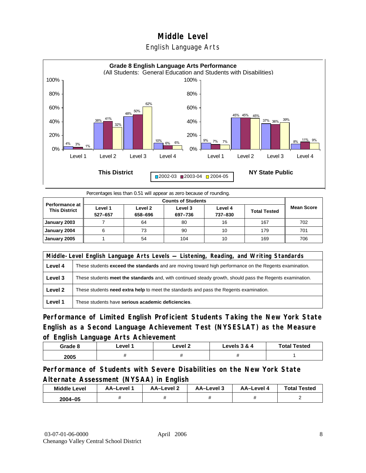### English Language Arts



Percentages less than 0.51 will appear as zero because of rounding.

| <b>Performance at</b><br><b>This District</b> | Level 1<br>527-657 | Level 2<br>658-696 | Level 3<br>697-736 | Level 4<br>737-830 | <b>Total Tested</b> | Mean Score |
|-----------------------------------------------|--------------------|--------------------|--------------------|--------------------|---------------------|------------|
| January 2003                                  |                    | 64                 | 80                 | 16                 | 167                 | 702        |
| January 2004                                  | 6                  | 73                 | 90                 | 10                 | 179                 | 701        |
| January 2005                                  |                    | 54                 | 104                | 10                 | 169                 | 706        |

|         | Middle-Level English Language Arts Levels — Listening, Reading, and Writing Standards                     |  |  |  |  |
|---------|-----------------------------------------------------------------------------------------------------------|--|--|--|--|
| Level 4 | These students exceed the standards and are moving toward high performance on the Regents examination.    |  |  |  |  |
| Level 3 | These students meet the standards and, with continued steady growth, should pass the Regents examination. |  |  |  |  |
| Level 2 | These students need extra help to meet the standards and pass the Regents examination.                    |  |  |  |  |
| Level 1 | These students have serious academic deficiencies.                                                        |  |  |  |  |

**Performance of Limited English Proficient Students Taking the New York State English as a Second Language Achievement Test (NYSESLAT) as the Measure of English Language Arts Achievement**

| Grade 8 | ∟evel 1 | ∟evel 2 | Levels 3 & 4 | <b>Total Tested</b> |
|---------|---------|---------|--------------|---------------------|
| 2005    |         |         | ,,           |                     |

**Performance of Students with Severe Disabilities on the New York State Alternate Assessment (NYSAA) in English** 

| <b>Middle Level</b> | AA–Level | AA-Level 2 | AA-Level 3 | AA-Level 4 | <b>Total Tested</b> |
|---------------------|----------|------------|------------|------------|---------------------|
| $2004 - 05$         |          |            |            |            |                     |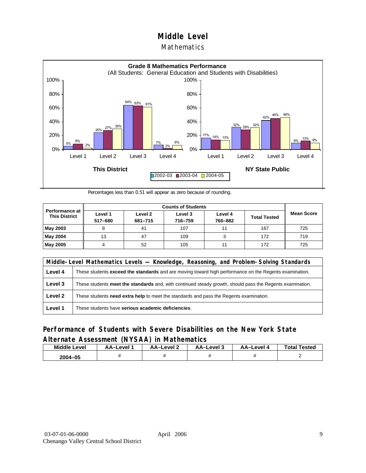### **Mathematics**



Percentages less than 0.51 will appear as zero because of rounding.

|                                               |                    | <b>Counts of Students</b> |                    |                    |                     |                   |  |  |  |
|-----------------------------------------------|--------------------|---------------------------|--------------------|--------------------|---------------------|-------------------|--|--|--|
| <b>Performance at</b><br><b>This District</b> | Level 1<br>517-680 | Level 2<br>681-715        | Level 3<br>716-759 | Level 4<br>760-882 | <b>Total Tested</b> | <b>Mean Score</b> |  |  |  |
| May 2003                                      |                    | 41                        | 107                | 11                 | 167                 | 725               |  |  |  |
| May 2004                                      | 13                 | 47                        | 109                |                    | 172                 | 719               |  |  |  |
| May 2005                                      |                    | 52                        | 105                | 11                 | 172                 | 725               |  |  |  |

|         | Middle-Level Mathematics Levels — Knowledge, Reasoning, and Problem-Solving Standards                         |  |  |  |  |
|---------|---------------------------------------------------------------------------------------------------------------|--|--|--|--|
| Level 4 | These students <b>exceed the standards</b> and are moving toward high performance on the Regents examination. |  |  |  |  |
| Level 3 | These students meet the standards and, with continued steady growth, should pass the Regents examination.     |  |  |  |  |
| Level 2 | These students need extra help to meet the standards and pass the Regents examination.                        |  |  |  |  |
| Level 1 | These students have serious academic deficiencies.                                                            |  |  |  |  |

### **Performance of Students with Severe Disabilities on the New York State Alternate Assessment (NYSAA) in Mathematics**

| <b>Middle Level</b> | AA-Level | AA-Level 2 | AA-Level 3 | AA–Level 4 | <b>Total Tested</b> |
|---------------------|----------|------------|------------|------------|---------------------|
| 2004-05             |          |            |            |            |                     |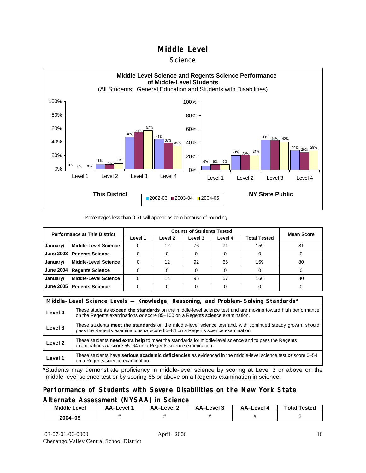#### **Science**



Percentages less than 0.51 will appear as zero because of rounding.

| <b>Performance at This District</b> |                             |         | <b>Mean Score</b>  |         |         |              |    |
|-------------------------------------|-----------------------------|---------|--------------------|---------|---------|--------------|----|
|                                     |                             | Level 1 | Level <sub>2</sub> | Level 3 | Level 4 | Total Tested |    |
| January/                            | <b>Middle-Level Science</b> |         | 12                 | 76      | 71      | 159          | 81 |
| <b>June 2003</b>                    | <b>Regents Science</b>      |         |                    |         |         |              |    |
| January/                            | <b>Middle-Level Science</b> |         | 12                 | 92      | 65      | 169          | 80 |
| <b>June 2004</b>                    | <b>Regents Science</b>      |         |                    |         |         |              |    |
| January/                            | <b>Middle-Level Science</b> |         | 14                 | 95      | 57      | 166          | 80 |
| <b>June 2005</b>                    | <b>Regents Science</b>      |         |                    |         |         |              |    |

|         | Middle-Level Science Levels — Knowledge, Reasoning, and Problem-Solving Standards*                                                                                                                  |  |  |  |  |
|---------|-----------------------------------------------------------------------------------------------------------------------------------------------------------------------------------------------------|--|--|--|--|
| Level 4 | These students <b>exceed the standards</b> on the middle-level science test and are moving toward high performance<br>on the Regents examinations or score 85-100 on a Regents science examination. |  |  |  |  |
| Level 3 | These students meet the standards on the middle-level science test and, with continued steady growth, should<br>pass the Regents examinations or score 65–84 on a Regents science examination.      |  |  |  |  |
| Level 2 | These students need extra help to meet the standards for middle-level science and to pass the Regents<br>examinations or score 55-64 on a Regents science examination.                              |  |  |  |  |
| Level 1 | These students have serious academic deficiencies as evidenced in the middle-level science test or score 0-54<br>on a Regents science examination.                                                  |  |  |  |  |

\*Students may demonstrate proficiency in middle-level science by scoring at Level 3 or above on the middle-level science test or by scoring 65 or above on a Regents examination in science.

### **Performance of Students with Severe Disabilities on the New York State Alternate Assessment (NYSAA) in Science**

| Middle L<br>_evel | <b>AA–Level</b> | AA-Level 2 | AA-Level 3 | AA–Level | <b>Tested</b><br>Total |
|-------------------|-----------------|------------|------------|----------|------------------------|
| 2004-05           |                 |            |            |          |                        |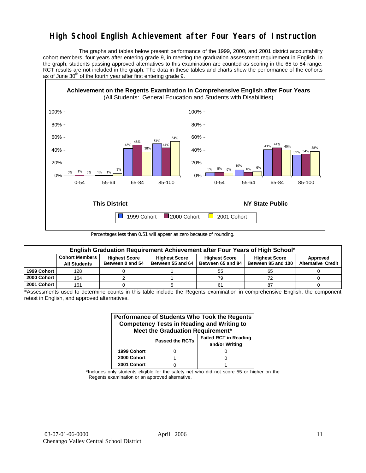## **High School English Achievement after Four Years of Instruction**

 The graphs and tables below present performance of the 1999, 2000, and 2001 district accountability cohort members, four years after entering grade 9, in meeting the graduation assessment requirement in English. In the graph, students passing approved alternatives to this examination are counted as scoring in the 65 to 84 range. RCT results are not included in the graph. The data in these tables and charts show the performance of the cohorts as of June  $30<sup>th</sup>$  of the fourth year after first entering grade 9.



Percentages less than 0.51 will appear as zero because of rounding.

| English Graduation Requirement Achievement after Four Years of High School* |                                              |                                          |                                           |                                           |                                            |                                       |  |  |  |  |  |
|-----------------------------------------------------------------------------|----------------------------------------------|------------------------------------------|-------------------------------------------|-------------------------------------------|--------------------------------------------|---------------------------------------|--|--|--|--|--|
|                                                                             | <b>Cohort Members</b><br><b>All Students</b> | <b>Highest Score</b><br>Between 0 and 54 | <b>Highest Score</b><br>Between 55 and 64 | <b>Highest Score</b><br>Between 65 and 84 | <b>Highest Score</b><br>Between 85 and 100 | Approved<br><b>Alternative Credit</b> |  |  |  |  |  |
| 1999 Cohort                                                                 | 128                                          |                                          |                                           | 55                                        | 65                                         |                                       |  |  |  |  |  |
| 2000 Cohort                                                                 | 164                                          |                                          |                                           | 79                                        | 72                                         |                                       |  |  |  |  |  |
| 2001 Cohort                                                                 | 161                                          |                                          |                                           | 61                                        | 87                                         |                                       |  |  |  |  |  |

<sup>\*</sup>Assessments used to determine counts in this table include the Regents examination in comprehensive English, the component retest in English, and approved alternatives.

| Performance of Students Who Took the Regents<br><b>Competency Tests in Reading and Writing to</b><br>Meet the Graduation Requirement* |                        |                                                |  |  |  |  |  |  |  |
|---------------------------------------------------------------------------------------------------------------------------------------|------------------------|------------------------------------------------|--|--|--|--|--|--|--|
|                                                                                                                                       | <b>Passed the RCTs</b> | <b>Failed RCT in Reading</b><br>and/or Writing |  |  |  |  |  |  |  |
| 1999 Cohort                                                                                                                           |                        |                                                |  |  |  |  |  |  |  |
| 2000 Cohort                                                                                                                           |                        |                                                |  |  |  |  |  |  |  |
| 2001 Cohort                                                                                                                           |                        |                                                |  |  |  |  |  |  |  |

\*Includes only students eligible for the safety net who did not score 55 or higher on the Regents examination or an approved alternative.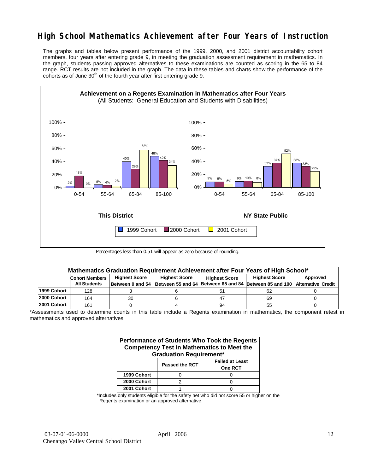## **High School Mathematics Achievement after Four Years of Instruction**

The graphs and tables below present performance of the 1999, 2000, and 2001 district accountability cohort members, four years after entering grade 9, in meeting the graduation assessment requirement in mathematics. In the graph, students passing approved alternatives to these examinations are counted as scoring in the 65 to 84 range. RCT results are not included in the graph. The data in these tables and charts show the performance of the cohorts as of June  $30<sup>th</sup>$  of the fourth year after first entering grade 9.



Percentages less than 0.51 will appear as zero because of rounding.

|             | Mathematics Graduation Requirement Achievement after Four Years of High School* |                                              |                   |                      |                                                         |          |  |  |  |  |  |
|-------------|---------------------------------------------------------------------------------|----------------------------------------------|-------------------|----------------------|---------------------------------------------------------|----------|--|--|--|--|--|
|             | <b>Cohort Members</b>                                                           | <b>Highest Score</b><br><b>Highest Score</b> |                   | <b>Highest Score</b> | <b>Highest Score</b>                                    | Approved |  |  |  |  |  |
|             | <b>All Students</b>                                                             | Between 0 and 54                             | Between 55 and 64 |                      | Between 65 and 84 Between 85 and 100 Alternative Credit |          |  |  |  |  |  |
| 1999 Cohort | 128                                                                             |                                              |                   | 51                   | 62                                                      |          |  |  |  |  |  |
| 2000 Cohort | 164                                                                             | 30                                           |                   | 47                   | 69                                                      |          |  |  |  |  |  |
| 2001 Cohort | 161                                                                             |                                              |                   | 94                   | 55                                                      |          |  |  |  |  |  |

<sup>\*</sup>Assessments used to determine counts in this table include a Regents examination in mathematics, the component retest in mathematics and approved alternatives.

| Performance of Students Who Took the Regents<br><b>Competency Test in Mathematics to Meet the</b><br><b>Graduation Requirement*</b> |                |                                          |  |  |  |  |  |  |
|-------------------------------------------------------------------------------------------------------------------------------------|----------------|------------------------------------------|--|--|--|--|--|--|
|                                                                                                                                     | Passed the RCT | <b>Failed at Least</b><br><b>One RCT</b> |  |  |  |  |  |  |
| 1999 Cohort                                                                                                                         |                |                                          |  |  |  |  |  |  |
| 2000 Cohort                                                                                                                         | っ              |                                          |  |  |  |  |  |  |
| 2001 Cohort                                                                                                                         |                |                                          |  |  |  |  |  |  |

\*Includes only students eligible for the safety net who did not score 55 or higher on the Regents examination or an approved alternative.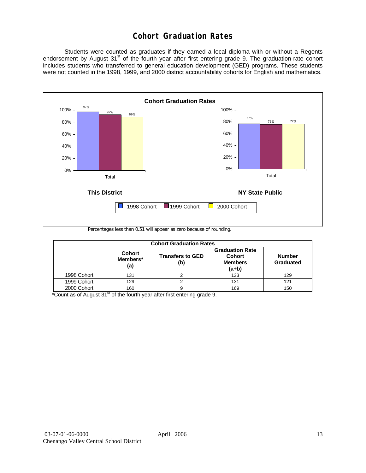## **Cohort Graduation Rates**

 Students were counted as graduates if they earned a local diploma with or without a Regents endorsement by August 31<sup>st</sup> of the fourth year after first entering grade 9. The graduation-rate cohort includes students who transferred to general education development (GED) programs. These students were not counted in the 1998, 1999, and 2000 district accountability cohorts for English and mathematics.



Percentages less than 0.51 will appear as zero because of rounding.

| <b>Cohort Graduation Rates</b> |                                  |                                |                                                                      |                            |  |  |  |  |  |  |
|--------------------------------|----------------------------------|--------------------------------|----------------------------------------------------------------------|----------------------------|--|--|--|--|--|--|
|                                | <b>Cohort</b><br>Members*<br>(a) | <b>Transfers to GED</b><br>(b) | <b>Graduation Rate</b><br><b>Cohort</b><br><b>Members</b><br>$(a+b)$ | <b>Number</b><br>Graduated |  |  |  |  |  |  |
| 1998 Cohort                    | 131                              |                                | 133                                                                  | 129                        |  |  |  |  |  |  |
| 1999 Cohort                    | 129                              |                                | 131                                                                  | 121                        |  |  |  |  |  |  |
| 2000 Cohort                    | 160                              |                                | 169                                                                  | 150                        |  |  |  |  |  |  |

 $*$ Count as of August 31 $*$  of the fourth year after first entering grade 9.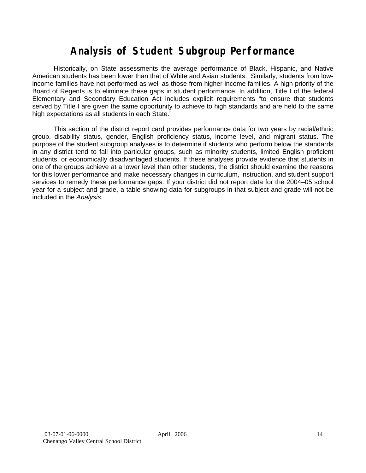# **Analysis of Student Subgroup Performance**

Historically, on State assessments the average performance of Black, Hispanic, and Native American students has been lower than that of White and Asian students. Similarly, students from lowincome families have not performed as well as those from higher income families. A high priority of the Board of Regents is to eliminate these gaps in student performance. In addition, Title I of the federal Elementary and Secondary Education Act includes explicit requirements "to ensure that students served by Title I are given the same opportunity to achieve to high standards and are held to the same high expectations as all students in each State."

This section of the district report card provides performance data for two years by racial/ethnic group, disability status, gender, English proficiency status, income level, and migrant status. The purpose of the student subgroup analyses is to determine if students who perform below the standards in any district tend to fall into particular groups, such as minority students, limited English proficient students, or economically disadvantaged students. If these analyses provide evidence that students in one of the groups achieve at a lower level than other students, the district should examine the reasons for this lower performance and make necessary changes in curriculum, instruction, and student support services to remedy these performance gaps. If your district did not report data for the 2004–05 school year for a subject and grade, a table showing data for subgroups in that subject and grade will not be included in the *Analysis*.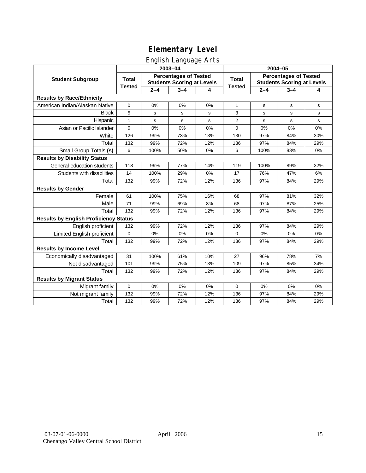## English Language Arts

|                                              |               |         | ັ<br>2003-04                                                      |     | 2004-05        |             |                                                                   |     |  |
|----------------------------------------------|---------------|---------|-------------------------------------------------------------------|-----|----------------|-------------|-------------------------------------------------------------------|-----|--|
| <b>Student Subgroup</b>                      | <b>Total</b>  |         | <b>Percentages of Tested</b><br><b>Students Scoring at Levels</b> |     | <b>Total</b>   |             | <b>Percentages of Tested</b><br><b>Students Scoring at Levels</b> |     |  |
|                                              | <b>Tested</b> | $2 - 4$ | $3 - 4$                                                           | 4   | <b>Tested</b>  | $2 - 4$     | $3 - 4$                                                           | 4   |  |
| <b>Results by Race/Ethnicity</b>             |               |         |                                                                   |     |                |             |                                                                   |     |  |
| American Indian/Alaskan Native               | 0             | 0%      | 0%                                                                | 0%  | $\mathbf{1}$   | $\mathbf s$ | $\mathbf s$                                                       | s   |  |
| <b>Black</b>                                 | 5             | s       | s                                                                 | s   | 3              | s           | s                                                                 | s   |  |
| Hispanic                                     | $\mathbf{1}$  | s       | s                                                                 | s   | $\overline{2}$ | s           | s                                                                 | s   |  |
| Asian or Pacific Islander                    | 0             | 0%      | 0%                                                                | 0%  | 0              | 0%          | 0%                                                                | 0%  |  |
| White                                        | 126           | 99%     | 73%                                                               | 13% | 130            | 97%         | 84%                                                               | 30% |  |
| Total                                        | 132           | 99%     | 72%                                                               | 12% | 136            | 97%         | 84%                                                               | 29% |  |
| Small Group Totals (s)                       | 6             | 100%    | 50%                                                               | 0%  | 6              | 100%        | 83%                                                               | 0%  |  |
| <b>Results by Disability Status</b>          |               |         |                                                                   |     |                |             |                                                                   |     |  |
| General-education students                   | 118           | 99%     | 77%                                                               | 14% | 119            | 100%        | 89%                                                               | 32% |  |
| Students with disabilities                   | 14            | 100%    | 29%                                                               | 0%  | 17             | 76%         | 47%                                                               | 6%  |  |
| Total                                        | 132           | 99%     | 72%                                                               | 12% | 136            | 97%         | 84%                                                               | 29% |  |
| <b>Results by Gender</b>                     |               |         |                                                                   |     |                |             |                                                                   |     |  |
| Female                                       | 61            | 100%    | 75%                                                               | 16% | 68             | 97%         | 81%                                                               | 32% |  |
| Male                                         | 71            | 99%     | 69%                                                               | 8%  | 68             | 97%         | 87%                                                               | 25% |  |
| Total                                        | 132           | 99%     | 72%                                                               | 12% | 136            | 97%         | 84%                                                               | 29% |  |
| <b>Results by English Proficiency Status</b> |               |         |                                                                   |     |                |             |                                                                   |     |  |
| English proficient                           | 132           | 99%     | 72%                                                               | 12% | 136            | 97%         | 84%                                                               | 29% |  |
| Limited English proficient                   | $\Omega$      | 0%      | 0%                                                                | 0%  | $\Omega$       | 0%          | 0%                                                                | 0%  |  |
| Total                                        | 132           | 99%     | 72%                                                               | 12% | 136            | 97%         | 84%                                                               | 29% |  |
| <b>Results by Income Level</b>               |               |         |                                                                   |     |                |             |                                                                   |     |  |
| Economically disadvantaged                   | 31            | 100%    | 61%                                                               | 10% | 27             | 96%         | 78%                                                               | 7%  |  |
| Not disadvantaged                            | 101           | 99%     | 75%                                                               | 13% | 109            | 97%         | 85%                                                               | 34% |  |
| Total                                        | 132           | 99%     | 72%                                                               | 12% | 136            | 97%         | 84%                                                               | 29% |  |
| <b>Results by Migrant Status</b>             |               |         |                                                                   |     |                |             |                                                                   |     |  |
| Migrant family                               | $\mathbf 0$   | 0%      | 0%                                                                | 0%  | $\mathbf 0$    | 0%          | 0%                                                                | 0%  |  |
| Not migrant family                           | 132           | 99%     | 72%                                                               | 12% | 136            | 97%         | 84%                                                               | 29% |  |
| Total                                        | 132           | 99%     | 72%                                                               | 12% | 136            | 97%         | 84%                                                               | 29% |  |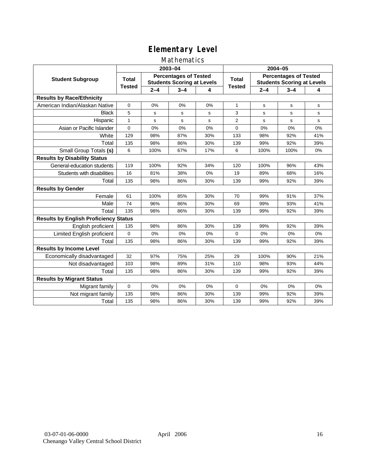### Mathematics

|                                              |               |         | 2003-04                                                           |     | 2004-05        |         |                                                                   |     |  |
|----------------------------------------------|---------------|---------|-------------------------------------------------------------------|-----|----------------|---------|-------------------------------------------------------------------|-----|--|
| <b>Student Subgroup</b>                      | <b>Total</b>  |         | <b>Percentages of Tested</b><br><b>Students Scoring at Levels</b> |     | Total          |         | <b>Percentages of Tested</b><br><b>Students Scoring at Levels</b> |     |  |
|                                              | <b>Tested</b> | $2 - 4$ | $3 - 4$                                                           | 4   | <b>Tested</b>  | $2 - 4$ | $3 - 4$                                                           | 4   |  |
| <b>Results by Race/Ethnicity</b>             |               |         |                                                                   |     |                |         |                                                                   |     |  |
| American Indian/Alaskan Native               | $\mathbf 0$   | 0%      | 0%                                                                | 0%  | $\mathbf{1}$   | s       | s                                                                 | s   |  |
| <b>Black</b>                                 | 5             | s       | s                                                                 | s   | 3              | s       | s                                                                 | s   |  |
| Hispanic                                     | $\mathbf{1}$  | s       | s                                                                 | s   | $\overline{2}$ | s       | s                                                                 | s   |  |
| Asian or Pacific Islander                    | 0             | 0%      | 0%                                                                | 0%  | 0              | 0%      | 0%                                                                | 0%  |  |
| White                                        | 129           | 98%     | 87%                                                               | 30% | 133            | 98%     | 92%                                                               | 41% |  |
| Total                                        | 135           | 98%     | 86%                                                               | 30% | 139            | 99%     | 92%                                                               | 39% |  |
| Small Group Totals (s)                       | 6             | 100%    | 67%                                                               | 17% | 6              | 100%    | 100%                                                              | 0%  |  |
| <b>Results by Disability Status</b>          |               |         |                                                                   |     |                |         |                                                                   |     |  |
| General-education students                   | 119           | 100%    | 92%                                                               | 34% | 120            | 100%    | 96%                                                               | 43% |  |
| Students with disabilities                   | 16            | 81%     | 38%                                                               | 0%  | 19             | 89%     | 68%                                                               | 16% |  |
| Total                                        | 135           | 98%     | 86%                                                               | 30% | 139            | 99%     | 92%                                                               | 39% |  |
| <b>Results by Gender</b>                     |               |         |                                                                   |     |                |         |                                                                   |     |  |
| Female                                       | 61            | 100%    | 85%                                                               | 30% | 70             | 99%     | 91%                                                               | 37% |  |
| Male                                         | 74            | 96%     | 86%                                                               | 30% | 69             | 99%     | 93%                                                               | 41% |  |
| Total                                        | 135           | 98%     | 86%                                                               | 30% | 139            | 99%     | 92%                                                               | 39% |  |
| <b>Results by English Proficiency Status</b> |               |         |                                                                   |     |                |         |                                                                   |     |  |
| English proficient                           | 135           | 98%     | 86%                                                               | 30% | 139            | 99%     | 92%                                                               | 39% |  |
| Limited English proficient                   | $\mathbf 0$   | 0%      | 0%                                                                | 0%  | $\Omega$       | 0%      | 0%                                                                | 0%  |  |
| Total                                        | 135           | 98%     | 86%                                                               | 30% | 139            | 99%     | 92%                                                               | 39% |  |
| <b>Results by Income Level</b>               |               |         |                                                                   |     |                |         |                                                                   |     |  |
| Economically disadvantaged                   | 32            | 97%     | 75%                                                               | 25% | 29             | 100%    | 90%                                                               | 21% |  |
| Not disadvantaged                            | 103           | 98%     | 89%                                                               | 31% | 110            | 98%     | 93%                                                               | 44% |  |
| Total                                        | 135           | 98%     | 86%                                                               | 30% | 139            | 99%     | 92%                                                               | 39% |  |
| <b>Results by Migrant Status</b>             |               |         |                                                                   |     |                |         |                                                                   |     |  |
| Migrant family                               | 0             | 0%      | 0%                                                                | 0%  | $\Omega$       | 0%      | 0%                                                                | 0%  |  |
| Not migrant family                           | 135           | 98%     | 86%                                                               | 30% | 139            | 99%     | 92%                                                               | 39% |  |
| Total                                        | 135           | 98%     | 86%                                                               | 30% | 139            | 99%     | 92%                                                               | 39% |  |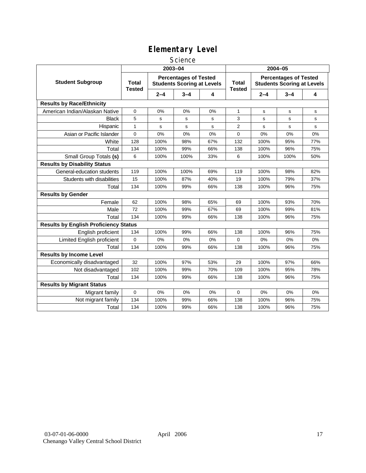### **Science**

|                                              | 2003-04                       |         |                                                                   |             | 2004-05                       |         |                                                                   |             |
|----------------------------------------------|-------------------------------|---------|-------------------------------------------------------------------|-------------|-------------------------------|---------|-------------------------------------------------------------------|-------------|
| <b>Student Subgroup</b>                      | <b>Total</b><br><b>Tested</b> |         | <b>Percentages of Tested</b><br><b>Students Scoring at Levels</b> |             | <b>Total</b><br><b>Tested</b> |         | <b>Percentages of Tested</b><br><b>Students Scoring at Levels</b> |             |
|                                              |                               | $2 - 4$ | $3 - 4$                                                           | 4           |                               | $2 - 4$ | $3 - 4$                                                           | 4           |
| <b>Results by Race/Ethnicity</b>             |                               |         |                                                                   |             |                               |         |                                                                   |             |
| American Indian/Alaskan Native               | 0                             | 0%      | 0%                                                                | 0%          | 1                             | s       | s                                                                 | s           |
| <b>Black</b>                                 | 5                             | s       | s                                                                 | s           | 3                             | S       | s                                                                 | s           |
| Hispanic                                     | $\mathbf{1}$                  | s       | s                                                                 | $\mathbf s$ | $\overline{2}$                | s       | s                                                                 | $\mathbf s$ |
| Asian or Pacific Islander                    | 0                             | 0%      | 0%                                                                | 0%          | $\mathbf 0$                   | 0%      | 0%                                                                | 0%          |
| White                                        | 128                           | 100%    | 98%                                                               | 67%         | 132                           | 100%    | 95%                                                               | 77%         |
| Total                                        | 134                           | 100%    | 99%                                                               | 66%         | 138                           | 100%    | 96%                                                               | 75%         |
| Small Group Totals (s)                       | 6                             | 100%    | 100%                                                              | 33%         | 6                             | 100%    | 100%                                                              | 50%         |
| <b>Results by Disability Status</b>          |                               |         |                                                                   |             |                               |         |                                                                   |             |
| General-education students                   | 119                           | 100%    | 100%                                                              | 69%         | 119                           | 100%    | 98%                                                               | 82%         |
| Students with disabilities                   | 15                            | 100%    | 87%                                                               | 40%         | 19                            | 100%    | 79%                                                               | 37%         |
| Total                                        | 134                           | 100%    | 99%                                                               | 66%         | 138                           | 100%    | 96%                                                               | 75%         |
| <b>Results by Gender</b>                     |                               |         |                                                                   |             |                               |         |                                                                   |             |
| Female                                       | 62                            | 100%    | 98%                                                               | 65%         | 69                            | 100%    | 93%                                                               | 70%         |
| Male                                         | 72                            | 100%    | 99%                                                               | 67%         | 69                            | 100%    | 99%                                                               | 81%         |
| Total                                        | 134                           | 100%    | 99%                                                               | 66%         | 138                           | 100%    | 96%                                                               | 75%         |
| <b>Results by English Proficiency Status</b> |                               |         |                                                                   |             |                               |         |                                                                   |             |
| English proficient                           | 134                           | 100%    | 99%                                                               | 66%         | 138                           | 100%    | 96%                                                               | 75%         |
| Limited English proficient                   | 0                             | 0%      | 0%                                                                | 0%          | 0                             | 0%      | 0%                                                                | 0%          |
| Total                                        | 134                           | 100%    | 99%                                                               | 66%         | 138                           | 100%    | 96%                                                               | 75%         |
| <b>Results by Income Level</b>               |                               |         |                                                                   |             |                               |         |                                                                   |             |
| Economically disadvantaged                   | 32                            | 100%    | 97%                                                               | 53%         | 29                            | 100%    | 97%                                                               | 66%         |
| Not disadvantaged                            | 102                           | 100%    | 99%                                                               | 70%         | 109                           | 100%    | 95%                                                               | 78%         |
| Total                                        | 134                           | 100%    | 99%                                                               | 66%         | 138                           | 100%    | 96%                                                               | 75%         |
| <b>Results by Migrant Status</b>             |                               |         |                                                                   |             |                               |         |                                                                   |             |
| Migrant family                               | 0                             | 0%      | 0%                                                                | 0%          | $\mathbf 0$                   | 0%      | 0%                                                                | 0%          |
| Not migrant family                           | 134                           | 100%    | 99%                                                               | 66%         | 138                           | 100%    | 96%                                                               | 75%         |
| Total                                        | 134                           | 100%    | 99%                                                               | 66%         | 138                           | 100%    | 96%                                                               | 75%         |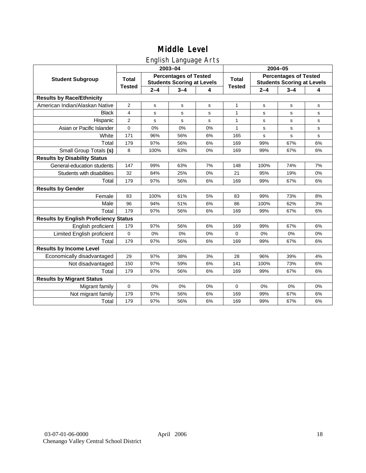## English Language Arts

|                                              |                |             | 2003-04                                                           |    | 2004-05       |         |                                                                   |             |  |
|----------------------------------------------|----------------|-------------|-------------------------------------------------------------------|----|---------------|---------|-------------------------------------------------------------------|-------------|--|
| <b>Student Subgroup</b>                      | <b>Total</b>   |             | <b>Percentages of Tested</b><br><b>Students Scoring at Levels</b> |    | <b>Total</b>  |         | <b>Percentages of Tested</b><br><b>Students Scoring at Levels</b> |             |  |
|                                              | <b>Tested</b>  | $2 - 4$     | $3 - 4$                                                           | 4  | <b>Tested</b> | $2 - 4$ | $3 - 4$                                                           | 4           |  |
| <b>Results by Race/Ethnicity</b>             |                |             |                                                                   |    |               |         |                                                                   |             |  |
| American Indian/Alaskan Native               | $\overline{2}$ | $\mathbf s$ | s                                                                 | s  | $\mathbf{1}$  | s       | $\mathbf s$                                                       | $\mathbf s$ |  |
| <b>Black</b>                                 | 4              | s           | s                                                                 | s  | 1             | s       | s                                                                 | s           |  |
| Hispanic                                     | $\overline{2}$ | s           | s                                                                 | s  | $\mathbf{1}$  | s       | s                                                                 | s           |  |
| Asian or Pacific Islander                    | $\mathbf 0$    | 0%          | 0%                                                                | 0% | 1             | s       | s                                                                 | s           |  |
| White                                        | 171            | 96%         | 56%                                                               | 6% | 165           | s       | s                                                                 | $\mathbf S$ |  |
| Total                                        | 179            | 97%         | 56%                                                               | 6% | 169           | 99%     | 67%                                                               | 6%          |  |
| Small Group Totals (s)                       | 8              | 100%        | 63%                                                               | 0% | 169           | 99%     | 67%                                                               | 6%          |  |
| <b>Results by Disability Status</b>          |                |             |                                                                   |    |               |         |                                                                   |             |  |
| General-education students                   | 147            | 99%         | 63%                                                               | 7% | 148           | 100%    | 74%                                                               | 7%          |  |
| Students with disabilities                   | 32             | 84%         | 25%                                                               | 0% | 21            | 95%     | 19%                                                               | 0%          |  |
| Total                                        | 179            | 97%         | 56%                                                               | 6% | 169           | 99%     | 67%                                                               | 6%          |  |
| <b>Results by Gender</b>                     |                |             |                                                                   |    |               |         |                                                                   |             |  |
| Female                                       | 83             | 100%        | 61%                                                               | 5% | 83            | 99%     | 73%                                                               | 8%          |  |
| Male                                         | 96             | 94%         | 51%                                                               | 6% | 86            | 100%    | 62%                                                               | 3%          |  |
| Total                                        | 179            | 97%         | 56%                                                               | 6% | 169           | 99%     | 67%                                                               | 6%          |  |
| <b>Results by English Proficiency Status</b> |                |             |                                                                   |    |               |         |                                                                   |             |  |
| English proficient                           | 179            | 97%         | 56%                                                               | 6% | 169           | 99%     | 67%                                                               | 6%          |  |
| <b>Limited English proficient</b>            | $\Omega$       | 0%          | 0%                                                                | 0% | $\Omega$      | 0%      | 0%                                                                | 0%          |  |
| Total                                        | 179            | 97%         | 56%                                                               | 6% | 169           | 99%     | 67%                                                               | 6%          |  |
| <b>Results by Income Level</b>               |                |             |                                                                   |    |               |         |                                                                   |             |  |
| Economically disadvantaged                   | 29             | 97%         | 38%                                                               | 3% | 28            | 96%     | 39%                                                               | 4%          |  |
| Not disadvantaged                            | 150            | 97%         | 59%                                                               | 6% | 141           | 100%    | 73%                                                               | 6%          |  |
| Total                                        | 179            | 97%         | 56%                                                               | 6% | 169           | 99%     | 67%                                                               | 6%          |  |
| <b>Results by Migrant Status</b>             |                |             |                                                                   |    |               |         |                                                                   |             |  |
| Migrant family                               | $\overline{0}$ | 0%          | 0%                                                                | 0% | $\Omega$      | 0%      | 0%                                                                | 0%          |  |
| Not migrant family                           | 179            | 97%         | 56%                                                               | 6% | 169           | 99%     | 67%                                                               | 6%          |  |
| Total                                        | 179            | 97%         | 56%                                                               | 6% | 169           | 99%     | 67%                                                               | 6%          |  |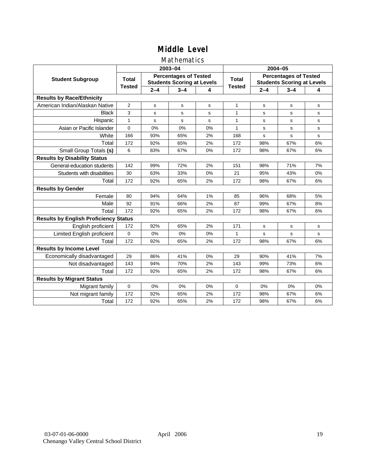### Mathematics

|                                              |                |         | 2003-04                                                           |    | 2004-05       |             |                                                                   |             |
|----------------------------------------------|----------------|---------|-------------------------------------------------------------------|----|---------------|-------------|-------------------------------------------------------------------|-------------|
| <b>Student Subgroup</b>                      | <b>Total</b>   |         | <b>Percentages of Tested</b><br><b>Students Scoring at Levels</b> |    | Total         |             | <b>Percentages of Tested</b><br><b>Students Scoring at Levels</b> |             |
|                                              | <b>Tested</b>  | $2 - 4$ | $3 - 4$                                                           | 4  | <b>Tested</b> | $2 - 4$     | $3 - 4$                                                           | 4           |
| <b>Results by Race/Ethnicity</b>             |                |         |                                                                   |    |               |             |                                                                   |             |
| American Indian/Alaskan Native               | $\overline{2}$ | s       | s                                                                 | s  | $\mathbf{1}$  | s           | s                                                                 | s           |
| <b>Black</b>                                 | 3              | s       | s                                                                 | s  | 1             | s           | s                                                                 | s           |
| Hispanic                                     | $\mathbf{1}$   | s       | $\mathbf s$                                                       | s  | $\mathbf{1}$  | s           | s                                                                 | s           |
| Asian or Pacific Islander                    | $\Omega$       | 0%      | 0%                                                                | 0% | $\mathbf{1}$  | s           | s                                                                 | s           |
| White                                        | 166            | 93%     | 65%                                                               | 2% | 168           | $\mathbf s$ | s                                                                 | $\mathbf s$ |
| Total                                        | 172            | 92%     | 65%                                                               | 2% | 172           | 98%         | 67%                                                               | 6%          |
| Small Group Totals (s)                       | 6              | 83%     | 67%                                                               | 0% | 172           | 98%         | 67%                                                               | 6%          |
| <b>Results by Disability Status</b>          |                |         |                                                                   |    |               |             |                                                                   |             |
| General-education students                   | 142            | 99%     | 72%                                                               | 2% | 151           | 98%         | 71%                                                               | 7%          |
| Students with disabilities                   | 30             | 63%     | 33%                                                               | 0% | 21            | 95%         | 43%                                                               | 0%          |
| Total                                        | 172            | 92%     | 65%                                                               | 2% | 172           | 98%         | 67%                                                               | 6%          |
| <b>Results by Gender</b>                     |                |         |                                                                   |    |               |             |                                                                   |             |
| Female                                       | 80             | 94%     | 64%                                                               | 1% | 85            | 96%         | 68%                                                               | 5%          |
| Male                                         | 92             | 91%     | 66%                                                               | 2% | 87            | 99%         | 67%                                                               | 8%          |
| Total                                        | 172            | 92%     | 65%                                                               | 2% | 172           | 98%         | 67%                                                               | 6%          |
| <b>Results by English Proficiency Status</b> |                |         |                                                                   |    |               |             |                                                                   |             |
| English proficient                           | 172            | 92%     | 65%                                                               | 2% | 171           | $\mathbf s$ | s                                                                 | s           |
| Limited English proficient                   | $\Omega$       | 0%      | 0%                                                                | 0% | $\mathbf{1}$  | s           | s                                                                 | s           |
| Total                                        | 172            | 92%     | 65%                                                               | 2% | 172           | 98%         | 67%                                                               | 6%          |
| <b>Results by Income Level</b>               |                |         |                                                                   |    |               |             |                                                                   |             |
| Economically disadvantaged                   | 29             | 86%     | 41%                                                               | 0% | 29            | 90%         | 41%                                                               | 7%          |
| Not disadvantaged                            | 143            | 94%     | 70%                                                               | 2% | 143           | 99%         | 73%                                                               | 6%          |
| Total                                        | 172            | 92%     | 65%                                                               | 2% | 172           | 98%         | 67%                                                               | 6%          |
| <b>Results by Migrant Status</b>             |                |         |                                                                   |    |               |             |                                                                   |             |
| Migrant family                               | $\mathbf 0$    | 0%      | 0%                                                                | 0% | $\Omega$      | 0%          | 0%                                                                | 0%          |
| Not migrant family                           | 172            | 92%     | 65%                                                               | 2% | 172           | 98%         | 67%                                                               | 6%          |
| Total                                        | 172            | 92%     | 65%                                                               | 2% | 172           | 98%         | 67%                                                               | 6%          |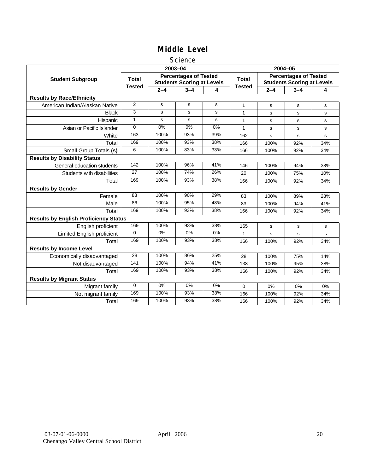### **Science**

|                                              |               |             | 2003-04                                                           |       | 2004-05       |             |                                                                   |     |
|----------------------------------------------|---------------|-------------|-------------------------------------------------------------------|-------|---------------|-------------|-------------------------------------------------------------------|-----|
| <b>Student Subgroup</b>                      | <b>Total</b>  |             | <b>Percentages of Tested</b><br><b>Students Scoring at Levels</b> |       | <b>Total</b>  |             | <b>Percentages of Tested</b><br><b>Students Scoring at Levels</b> |     |
|                                              | <b>Tested</b> | $2 - 4$     | $3 - 4$                                                           | 4     | <b>Tested</b> | $2 - 4$     | $3 - 4$                                                           | 4   |
| <b>Results by Race/Ethnicity</b>             |               |             |                                                                   |       |               |             |                                                                   |     |
| American Indian/Alaskan Native               | 2             | s           | s                                                                 | s     | $\mathbf{1}$  | s           | s                                                                 | s   |
| <b>Black</b>                                 | 3             | s           | s                                                                 | s     | 1             | s           | s                                                                 | s   |
| Hispanic                                     | $\mathbf{1}$  | $\mathbf s$ | s                                                                 | s     | $\mathbf{1}$  | s           | s                                                                 | s   |
| Asian or Pacific Islander                    | $\Omega$      | 0%          | 0%                                                                | $0\%$ | $\mathbf{1}$  | s           | s                                                                 | s   |
| White                                        | 163           | 100%        | 93%                                                               | 39%   | 162           | $\mathbf s$ | s                                                                 | s   |
| Total                                        | 169           | 100%        | 93%                                                               | 38%   | 166           | 100%        | 92%                                                               | 34% |
| Small Group Totals (s)                       | 6             | 100%        | 83%                                                               | 33%   | 166           | 100%        | 92%                                                               | 34% |
| <b>Results by Disability Status</b>          |               |             |                                                                   |       |               |             |                                                                   |     |
| General-education students                   | 142           | 100%        | 96%                                                               | 41%   | 146           | 100%        | 94%                                                               | 38% |
| Students with disabilities                   | 27            | 100%        | 74%                                                               | 26%   | 20            | 100%        | 75%                                                               | 10% |
| Total                                        | 169           | 100%        | 93%                                                               | 38%   | 166           | 100%        | 92%                                                               | 34% |
| <b>Results by Gender</b>                     |               |             |                                                                   |       |               |             |                                                                   |     |
| Female                                       | 83            | 100%        | 90%                                                               | 29%   | 83            | 100%        | 89%                                                               | 28% |
| Male                                         | 86            | 100%        | 95%                                                               | 48%   | 83            | 100%        | 94%                                                               | 41% |
| Total                                        | 169           | 100%        | 93%                                                               | 38%   | 166           | 100%        | 92%                                                               | 34% |
| <b>Results by English Proficiency Status</b> |               |             |                                                                   |       |               |             |                                                                   |     |
| English proficient                           | 169           | 100%        | 93%                                                               | 38%   | 165           | $\mathbf s$ | s                                                                 | s   |
| Limited English proficient                   | $\Omega$      | $0\%$       | $0\%$                                                             | $0\%$ |               | s           | s                                                                 | s   |
| Total                                        | 169           | 100%        | 93%                                                               | 38%   | 166           | 100%        | 92%                                                               | 34% |
| <b>Results by Income Level</b>               |               |             |                                                                   |       |               |             |                                                                   |     |
| Economically disadvantaged                   | 28            | 100%        | 86%                                                               | 25%   | 28            | 100%        | 75%                                                               | 14% |
| Not disadvantaged                            | 141           | 100%        | 94%                                                               | 41%   | 138           | 100%        | 95%                                                               | 38% |
| Total                                        | 169           | 100%        | 93%                                                               | 38%   | 166           | 100%        | 92%                                                               | 34% |
| <b>Results by Migrant Status</b>             |               |             |                                                                   |       |               |             |                                                                   |     |
| Migrant family                               | $\mathbf 0$   | 0%          | 0%                                                                | 0%    | 0             | 0%          | 0%                                                                | 0%  |
| Not migrant family                           | 169           | 100%        | 93%                                                               | 38%   | 166           | 100%        | 92%                                                               | 34% |
| Total                                        | 169           | 100%        | 93%                                                               | 38%   | 166           | 100%        | 92%                                                               | 34% |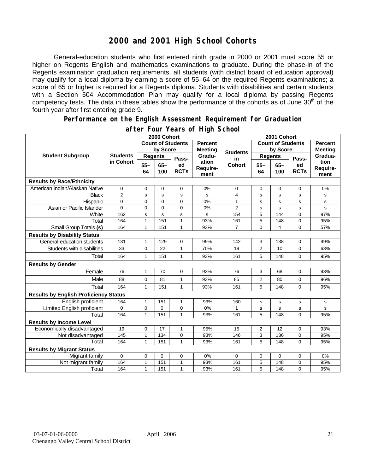## **2000 and 2001 High School Cohorts**

General-education students who first entered ninth grade in 2000 or 2001 must score 55 or higher on Regents English and mathematics examinations to graduate. During the phase-in of the Regents examination graduation requirements, all students (with district board of education approval) may qualify for a local diploma by earning a score of 55–64 on the required Regents examinations; a score of 65 or higher is required for a Regents diploma. Students with disabilities and certain students with a Section 504 Accommodation Plan may qualify for a local diploma by passing Regents competency tests. The data in these tables show the performance of the cohorts as of June  $30<sup>th</sup>$  of the fourth year after first entering grade 9.

#### **Performance on the English Assessment Requirement for Graduation**

|                                              | 2000 Cohort                  |                          |               |                   |                                  | 2001 Cohort     |                          |               |                   |                                  |
|----------------------------------------------|------------------------------|--------------------------|---------------|-------------------|----------------------------------|-----------------|--------------------------|---------------|-------------------|----------------------------------|
| <b>Student Subgroup</b>                      |                              | <b>Count of Students</b> |               |                   | <b>Percent</b><br><b>Meeting</b> |                 | <b>Count of Students</b> |               |                   | <b>Percent</b><br><b>Meeting</b> |
|                                              | <b>Students</b><br>in Cohort | by Score                 |               |                   |                                  | <b>Students</b> | by Score                 |               |                   |                                  |
|                                              |                              | <b>Regents</b>           |               | Pass-             | Gradu-                           | in              | <b>Regents</b>           |               | Pass-             | Gradua-                          |
|                                              |                              | $55 -$<br>64             | $65 -$<br>100 | ed<br><b>RCTs</b> | ation<br>Require-<br>ment        | <b>Cohort</b>   | $55 -$<br>64             | $65 -$<br>100 | ed<br><b>RCTs</b> | tion<br>Require-<br>ment         |
| <b>Results by Race/Ethnicity</b>             |                              |                          |               |                   |                                  |                 |                          |               |                   |                                  |
| American Indian/Alaskan Native               | $\mathbf 0$                  | $\mathbf 0$              | 0             | 0                 | 0%                               | 0               | 0                        | 0             | 0                 | 0%                               |
| <b>Black</b>                                 | $\overline{2}$               | s                        | s             | s                 | s                                | 4               | s                        | s             | s                 | s                                |
| Hispanic                                     | 0                            | $\mathbf 0$              | $\mathbf 0$   | 0                 | 0%                               | 1               | s                        | s             | s                 | s                                |
| Asian or Pacific Islander                    | 0                            | $\mathbf 0$              | 0             | $\overline{0}$    | 0%                               | $\overline{2}$  | s                        | s             | s                 | s                                |
| White                                        | 162                          | s                        | $\mathbf s$   | s                 | s                                | 154             | $\overline{5}$           | 144           | 0                 | 97%                              |
| Total                                        | 164                          | $\mathbf{1}$             | 151           | $\mathbf{1}$      | 93%                              | 161             | $\overline{5}$           | 148           | 0                 | 95%                              |
| Small Group Totals (s)                       | 164                          | $\mathbf{1}$             | 151           | 1                 | 93%                              | 7               | $\mathbf 0$              | 4             | 0                 | 57%                              |
| <b>Results by Disability Status</b>          |                              |                          |               |                   |                                  |                 |                          |               |                   |                                  |
| General-education students                   | 131                          | 1                        | 129           | 0                 | 99%                              | 142             | 3                        | 138           | 0                 | 99%                              |
| Students with disabilities                   | 33                           | $\mathbf 0$              | 22            | 1                 | 70%                              | 19              | $\overline{2}$           | 10            | 0                 | 63%                              |
| Total                                        | 164                          | $\mathbf{1}$             | 151           | 1                 | 93%                              | 161             | 5                        | 148           | 0                 | 95%                              |
| <b>Results by Gender</b>                     |                              |                          |               |                   |                                  |                 |                          |               |                   |                                  |
| Female                                       | 76                           | $\mathbf{1}$             | 70            | 0                 | 93%                              | 76              | 3                        | 68            | 0                 | 93%                              |
| Male                                         | 88                           | $\mathbf 0$              | 81            | 1                 | 93%                              | 85              | 2                        | 80            | 0                 | 96%                              |
| Total                                        | 164                          | $\mathbf{1}$             | 151           | 1                 | 93%                              | 161             | 5                        | 148           | 0                 | 95%                              |
| <b>Results by English Proficiency Status</b> |                              |                          |               |                   |                                  |                 |                          |               |                   |                                  |
| English proficient                           | 164                          | 1                        | 151           | 1                 | 93%                              | 160             | s                        | s             | $\mathbf s$       | $\mathbf s$                      |
| Limited English proficient                   | $\Omega$                     | $\mathbf 0$              | $\Omega$      | 0                 | 0%                               | 1               | s                        | s             | s                 | s                                |
| Total                                        | 164                          | 1                        | 151           | 1                 | 93%                              | 161             | 5                        | 148           | 0                 | 95%                              |
| <b>Results by Income Level</b>               |                              |                          |               |                   |                                  |                 |                          |               |                   |                                  |
| Economically disadvantaged                   | 19                           | $\mathbf 0$              | 17            | $\mathbf{1}$      | 95%                              | 15              | $\overline{2}$           | 12            | 0                 | 93%                              |
| Not disadvantaged                            | 145                          | $\mathbf{1}$             | 134           | 0                 | 93%                              | 146             | 3                        | 136           | 0                 | 95%                              |
| Total                                        | 164                          | 1                        | 151           | 1                 | 93%                              | 161             | 5                        | 148           | $\Omega$          | 95%                              |
| <b>Results by Migrant Status</b>             |                              |                          |               |                   |                                  |                 |                          |               |                   |                                  |
| Migrant family                               | $\mathbf 0$                  | $\mathbf 0$              | $\mathbf 0$   | $\mathbf 0$       | 0%                               | 0               | $\mathbf 0$              | 0             | 0                 | 0%                               |
| Not migrant family                           | 164                          | 1                        | 151           | $\mathbf{1}$      | 93%                              | 161             | 5                        | 148           | 0                 | 95%                              |
| Total                                        | 164                          | $\mathbf{1}$             | 151           | 1                 | 93%                              | 161             | 5                        | 148           | 0                 | 95%                              |

### **after Four Years of High School**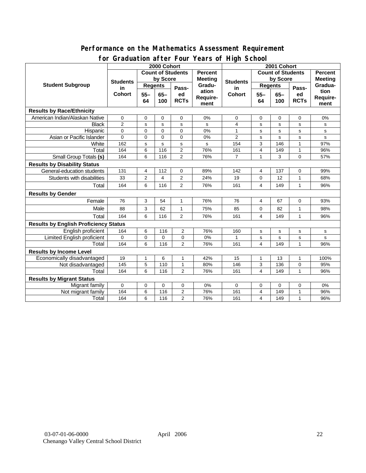### **Performance on the Mathematics Assessment Requirement for Graduation after Four Years of High School**

|                                              | <u><b>Dragation artor roar roars or right conoon</b></u><br>2000 Cohort |                |          |                |                | 2001 Cohort         |                                            |             |              |                  |
|----------------------------------------------|-------------------------------------------------------------------------|----------------|----------|----------------|----------------|---------------------|--------------------------------------------|-------------|--------------|------------------|
| <b>Student Subgroup</b>                      | <b>Count of Students</b>                                                |                |          |                | <b>Percent</b> |                     | <b>Count of Students</b><br><b>Percent</b> |             |              |                  |
|                                              | <b>Students</b><br>in<br><b>Cohort</b>                                  | by Score       |          |                | <b>Meeting</b> |                     | by Score                                   |             |              | <b>Meeting</b>   |
|                                              |                                                                         | <b>Regents</b> |          |                | Gradu-         | <b>Students</b>     | <b>Regents</b>                             |             |              | Gradua-          |
|                                              |                                                                         | $55 -$         | $65-$    | Pass-<br>ed    | ation          | in<br><b>Cohort</b> | $65-$<br>$55 -$                            |             | Pass-<br>ed  | tion<br>Require- |
|                                              |                                                                         | 64             | 100      | <b>RCTs</b>    | Require-       |                     | 64                                         | 100         | <b>RCTs</b>  |                  |
|                                              |                                                                         |                |          |                | ment           |                     |                                            |             |              | ment             |
| <b>Results by Race/Ethnicity</b>             |                                                                         |                |          |                |                |                     |                                            |             |              |                  |
| American Indian/Alaskan Native               | 0                                                                       | 0              | 0        | 0              | 0%             | 0                   | 0                                          | 0           | $\mathbf 0$  | 0%               |
| <b>Black</b>                                 | $\overline{2}$                                                          | s              | s        | s              | s              | 4                   | s                                          | s           | s            | s                |
| Hispanic                                     | 0                                                                       | $\mathbf 0$    | $\Omega$ | 0              | 0%             | 1                   | s                                          | s           | s            | s                |
| Asian or Pacific Islander                    | $\overline{0}$                                                          | 0              | $\Omega$ | 0              | 0%             | $\overline{2}$      | s                                          | s           | s            | s                |
| White                                        | 162                                                                     | s              | s        | s              | s              | 154                 | 3                                          | 146         | 1            | 97%              |
| Total                                        | 164                                                                     | 6              | 116      | $\overline{2}$ | 76%            | 161                 | 4                                          | 149         | 1            | 96%              |
| <b>Small Group Totals (s)</b>                | 164                                                                     | 6              | 116      | $\overline{2}$ | 76%            | $\overline{7}$      | 1                                          | 3           | 0            | 57%              |
| <b>Results by Disability Status</b>          |                                                                         |                |          |                |                |                     |                                            |             |              |                  |
| General-education students                   | 131                                                                     | 4              | 112      | 0              | 89%            | 142                 | 4                                          | 137         | 0            | 99%              |
| Students with disabilities                   | 33                                                                      | 2              | 4        | $\mathbf{2}$   | 24%            | 19                  | 0                                          | 12          | $\mathbf{1}$ | 68%              |
| Total                                        | 164                                                                     | 6              | 116      | $\overline{2}$ | 76%            | 161                 | 4                                          | 149         | $\mathbf{1}$ | 96%              |
| <b>Results by Gender</b>                     |                                                                         |                |          |                |                |                     |                                            |             |              |                  |
| Female                                       | 76                                                                      | 3              | 54       | 1              | 76%            | 76                  | 4                                          | 67          | 0            | 93%              |
| Male                                         | 88                                                                      | 3              | 62       | $\mathbf{1}$   | 75%            | 85                  | 0                                          | 82          | $\mathbf{1}$ | 98%              |
| Total                                        | 164                                                                     | 6              | 116      | 2              | 76%            | 161                 | 4                                          | 149         | $\mathbf{1}$ | 96%              |
| <b>Results by English Proficiency Status</b> |                                                                         |                |          |                |                |                     |                                            |             |              |                  |
| English proficient                           | 164                                                                     | 6              | 116      | 2              | 76%            | 160                 | s                                          | $\mathbf s$ | s            | s                |
| <b>Limited English proficient</b>            | 0                                                                       | $\mathbf 0$    | $\Omega$ | 0              | 0%             | 1                   | s                                          | s           | s            | s                |
| Total                                        | 164                                                                     | 6              | 116      | $\overline{2}$ | 76%            | 161                 | 4                                          | 149         | $\mathbf{1}$ | 96%              |
| <b>Results by Income Level</b>               |                                                                         |                |          |                |                |                     |                                            |             |              |                  |
| Economically disadvantaged                   | 19                                                                      | 1              | 6        | 1              | 42%            | 15                  | 1                                          | 13          | 1            | 100%             |
| Not disadvantaged                            | 145                                                                     | 5              | 110      | $\mathbf{1}$   | 80%            | 146                 | 3                                          | 136         | 0            | 95%              |
| Total                                        | 164                                                                     | 6              | 116      | $\overline{2}$ | 76%            | 161                 | $\overline{4}$                             | 149         | $\mathbf{1}$ | 96%              |
| <b>Results by Migrant Status</b>             |                                                                         |                |          |                |                |                     |                                            |             |              |                  |
| Migrant family                               | 0                                                                       | 0              | 0        | 0              | 0%             | 0                   | 0                                          | 0           | 0            | 0%               |
| Not migrant family                           | 164                                                                     | 6              | 116      | 2              | 76%            | 161                 | 4                                          | 149         | $\mathbf{1}$ | 96%              |
| Total                                        | 164                                                                     | 6              | 116      | 2              | 76%            | 161                 | 4                                          | 149         | 1            | 96%              |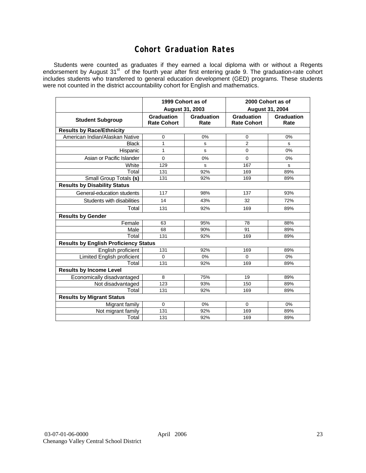## **Cohort Graduation Rates**

Students were counted as graduates if they earned a local diploma with or without a Regents endorsement by August 31<sup>st</sup> of the fourth year after first entering grade 9. The graduation-rate cohort includes students who transferred to general education development (GED) programs. These students were not counted in the district accountability cohort for English and mathematics.

|                                              | 1999 Cohort as of                |                    | 2000 Cohort as of                |                    |  |  |  |  |  |  |  |
|----------------------------------------------|----------------------------------|--------------------|----------------------------------|--------------------|--|--|--|--|--|--|--|
|                                              | August 31, 2003                  |                    | <b>August 31, 2004</b>           |                    |  |  |  |  |  |  |  |
| <b>Student Subgroup</b>                      | Graduation<br><b>Rate Cohort</b> | Graduation<br>Rate | Graduation<br><b>Rate Cohort</b> | Graduation<br>Rate |  |  |  |  |  |  |  |
| <b>Results by Race/Ethnicity</b>             |                                  |                    |                                  |                    |  |  |  |  |  |  |  |
| American Indian/Alaskan Native               | 0                                | 0%                 | 0                                | 0%                 |  |  |  |  |  |  |  |
| <b>Black</b>                                 | 1                                | s                  | $\overline{2}$                   | s                  |  |  |  |  |  |  |  |
| Hispanic                                     | 1                                | s                  | $\mathbf 0$                      | 0%                 |  |  |  |  |  |  |  |
| Asian or Pacific Islander                    | $\Omega$                         | 0%                 | $\Omega$                         | 0%                 |  |  |  |  |  |  |  |
| White                                        | 129                              | s                  | 167                              | s                  |  |  |  |  |  |  |  |
| Total                                        | 131                              | 92%                | 169                              | 89%                |  |  |  |  |  |  |  |
| Small Group Totals (s)                       | 131                              | 92%                | 169                              | 89%                |  |  |  |  |  |  |  |
| <b>Results by Disability Status</b>          |                                  |                    |                                  |                    |  |  |  |  |  |  |  |
| General-education students                   | 117                              | 98%                | 137                              | 93%                |  |  |  |  |  |  |  |
| Students with disabilities                   | 14                               | 43%                | 32                               | 72%                |  |  |  |  |  |  |  |
| Total                                        | 131                              | 92%                | 169                              | 89%                |  |  |  |  |  |  |  |
| <b>Results by Gender</b>                     |                                  |                    |                                  |                    |  |  |  |  |  |  |  |
| Female                                       | 63                               | 95%                | 78                               | 88%                |  |  |  |  |  |  |  |
| Male                                         | 68                               | 90%                | 91                               | 89%                |  |  |  |  |  |  |  |
| Total                                        | 131                              | 92%                | 169                              | 89%                |  |  |  |  |  |  |  |
| <b>Results by English Proficiency Status</b> |                                  |                    |                                  |                    |  |  |  |  |  |  |  |
| English proficient                           | 131                              | 92%                | 169                              | 89%                |  |  |  |  |  |  |  |
| <b>Limited English proficient</b>            | $\Omega$                         | 0%                 | $\Omega$                         | 0%                 |  |  |  |  |  |  |  |
| Total                                        | 131                              | 92%                | 169                              | 89%                |  |  |  |  |  |  |  |
| <b>Results by Income Level</b>               |                                  |                    |                                  |                    |  |  |  |  |  |  |  |
| Economically disadvantaged                   | 8                                | 75%                | 19                               | 89%                |  |  |  |  |  |  |  |
| Not disadvantaged                            | 123                              | 93%                | 150                              | 89%                |  |  |  |  |  |  |  |
| Total                                        | 131                              | 92%                | 169                              | 89%                |  |  |  |  |  |  |  |
| <b>Results by Migrant Status</b>             |                                  |                    |                                  |                    |  |  |  |  |  |  |  |
| Migrant family                               | $\Omega$                         | 0%                 | $\Omega$                         | 0%                 |  |  |  |  |  |  |  |
| Not migrant family                           | 131                              | 92%                | 169                              | 89%                |  |  |  |  |  |  |  |
| Total                                        | 131                              | 92%                | 169                              | 89%                |  |  |  |  |  |  |  |